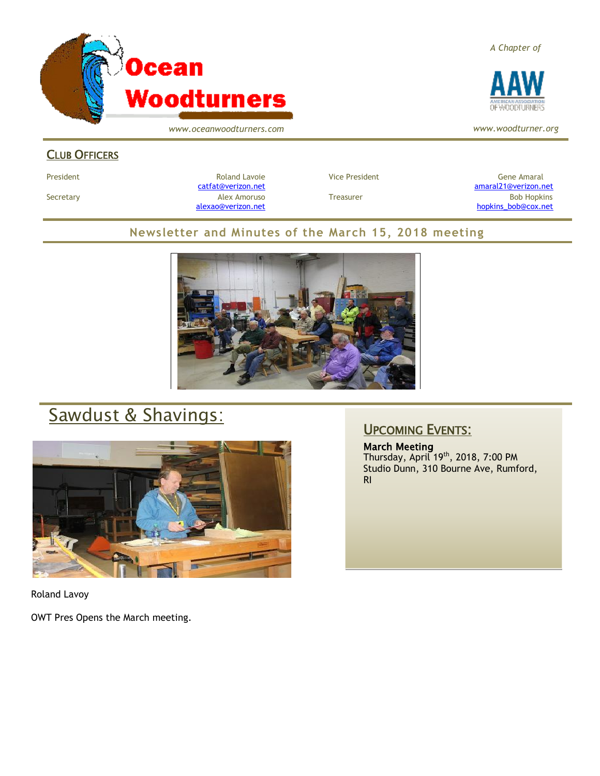

*www.oceanwoodturners.com*

### CLUB OFFICERS

President Chronical Communication Chronical Roland Lavoie Chronic Vice President Chronic Chronic Gene Amaral [catfat@verizon.net](file:///C:/Users/OTEC/Desktop/OW/catfat@verizon.net) [amaral21@verizon.net](mailto:amaral21@verizon.net) Secretary Alex Amoruso Treasurer Bob Hopkins [alexao@verizon.net](mailto:alexao@verizon.net) [hopkins\\_bob@cox.net](mailto:hopkins_bob@cox.net)

### **Newsletter and Minutes of the March 15, 2018 meeting**



# Sawdust & Shavings:



Roland Lavoy

OWT Pres Opens the March meeting.

### UPCOMING EVENTS:

March Meeting Thursday, April 19<sup>th</sup>, 2018, 7:00 PM Studio Dunn, 310 Bourne Ave, Rumford, RI





*www.woodturner.org*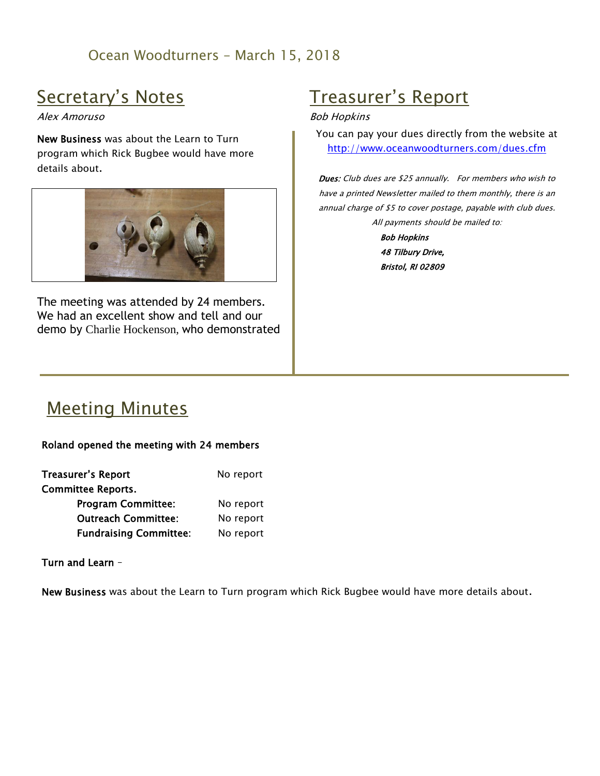### Ocean Woodturners – March 15, 2018

## Secretary's Notes

#### Alex Amoruso

New Business was about the Learn to Turn program which Rick Bugbee would have more details about.



The meeting was attended by 24 members. We had an excellent show and tell and our demo by Charlie Hockenson, who demonstrated

# Treasurer's Report

#### Bob Hopkins

You can pay your dues directly from the website at <http://www.oceanwoodturners.com/dues.cfm>

**Dues:** Club dues are \$25 annually. For members who wish to have a printed Newsletter mailed to them monthly, there is an annual charge of \$5 to cover postage, payable with club dues. All payments should be mailed to:

> Bob Hopkins 48 Tilbury Drive, Bristol, RI 02809

## Meeting Minutes

#### Roland opened the meeting with 24 members

| Treasurer's Report            | No report |
|-------------------------------|-----------|
| <b>Committee Reports.</b>     |           |
| <b>Program Committee:</b>     | No report |
| <b>Outreach Committee:</b>    | No report |
| <b>Fundraising Committee:</b> | No report |

Turn and Learn –

New Business was about the Learn to Turn program which Rick Bugbee would have more details about.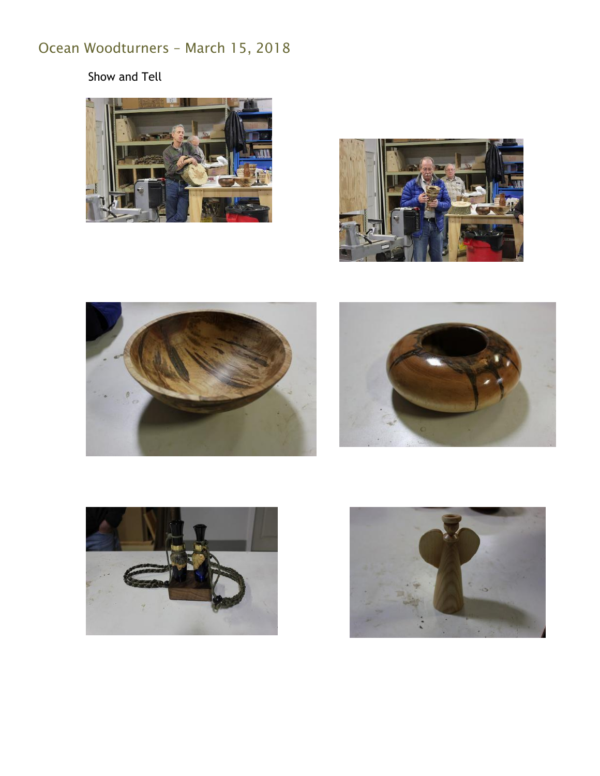## Ocean Woodturners – March 15, 2018

Show and Tell